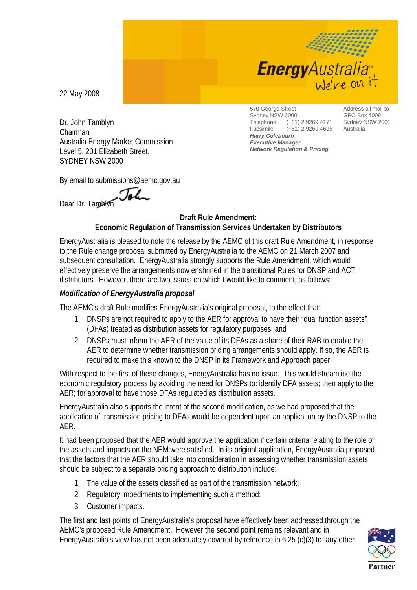

22 May 2008

Dr. John Tamblyn Chairman Australia Energy Market Commission Level 5, 201 Elizabeth Street, SYDNEY NSW 2000

570 George Street Sydney NSW 2000<br>Telephone (+61) Telephone (+61) 2 9269 4171 Facsimile (+61) 2 9269 4696 *Harry Colebourn Executive Manager Network Regulation & Pricing*

Address all mail to GPO Box 4009 Sydney NSW 2001 Australia

By email to submissions@aemc.gov.au

Dear Dr. Tamblyn

## **Draft Rule Amendment: Economic Regulation of Transmission Services Undertaken by Distributors**

EnergyAustralia is pleased to note the release by the AEMC of this draft Rule Amendment, in response to the Rule change proposal submitted by EnergyAustralia to the AEMC on 21 March 2007 and subsequent consultation. EnergyAustralia strongly supports the Rule Amendment, which would effectively preserve the arrangements now enshrined in the transitional Rules for DNSP and ACT distributors. However, there are two issues on which I would like to comment, as follows:

## *Modification of EnergyAustralia proposal*

The AEMC's draft Rule modifies EnergyAustralia's original proposal, to the effect that:

- 1. DNSPs are not required to apply to the AER for approval to have their "dual function assets" (DFAs) treated as distribution assets for regulatory purposes; and
- 2. DNSPs must inform the AER of the value of its DFAs as a share of their RAB to enable the AER to determine whether transmission pricing arrangements should apply. If so, the AER is required to make this known to the DNSP in its Framework and Approach paper.

With respect to the first of these changes, EnergyAustralia has no issue. This would streamline the economic regulatory process by avoiding the need for DNSPs to: identify DFA assets; then apply to the AER; for approval to have those DFAs regulated as distribution assets.

EnergyAustralia also supports the intent of the second modification, as we had proposed that the application of transmission pricing to DFAs would be dependent upon an application by the DNSP to the AER.

It had been proposed that the AER would approve the application if certain criteria relating to the role of the assets and impacts on the NEM were satisfied. In its original application, EnergyAustralia proposed that the factors that the AER should take into consideration in assessing whether transmission assets should be subject to a separate pricing approach to distribution include:

- 1. The value of the assets classified as part of the transmission network;
- 2. Regulatory impediments to implementing such a method;
- 3. Customer impacts.

The first and last points of EnergyAustralia's proposal have effectively been addressed through the AEMC's proposed Rule Amendment. However the second point remains relevant and in EnergyAustralia's view has not been adequately covered by reference in 6.25 (c)(3) to "any other